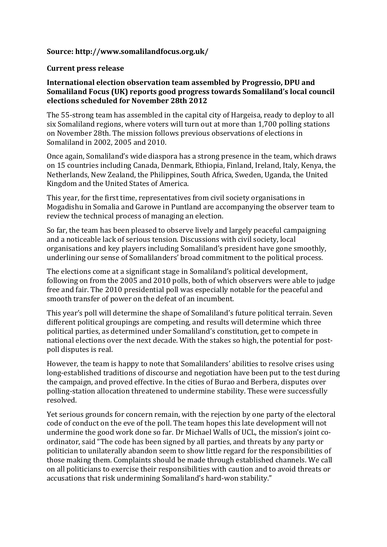### **Source: http://www.somalilandfocus.org.uk/**

### **Current press release**

### **International election observation team assembled by Progressio, DPU and Somaliland Focus (UK) reports good progress towards Somaliland's local council elections scheduled for November 28th 2012**

The 55-strong team has assembled in the capital city of Hargeisa, ready to deploy to all six Somaliland regions, where voters will turn out at more than 1,700 polling stations on November 28th. The mission follows previous observations of elections in Somaliland in 2002, 2005 and 2010.

Once again, Somaliland's wide diaspora has a strong presence in the team, which draws on 15 countries including Canada, Denmark, Ethiopia, Finland, Ireland, Italy, Kenya, the Netherlands, New Zealand, the Philippines, South Africa, Sweden, Uganda, the United Kingdom and the United States of America.

This year, for the first time, representatives from civil society organisations in Mogadishu in Somalia and Garowe in Puntland are accompanying the observer team to review the technical process of managing an election.

So far, the team has been pleased to observe lively and largely peaceful campaigning and a noticeable lack of serious tension. Discussions with civil society, local organisations and key players including Somaliland's president have gone smoothly, underlining our sense of Somalilanders' broad commitment to the political process.

The elections come at a significant stage in Somaliland's political development, following on from the 2005 and 2010 polls, both of which observers were able to judge free and fair. The 2010 presidential poll was especially notable for the peaceful and smooth transfer of power on the defeat of an incumbent.

This year's poll will determine the shape of Somaliland's future political terrain. Seven different political groupings are competing, and results will determine which three political parties, as determined under Somaliland's constitution, get to compete in national elections over the next decade. With the stakes so high, the potential for postpoll disputes is real.

However, the team is happy to note that Somalilanders' abilities to resolve crises using long-established traditions of discourse and negotiation have been put to the test during the campaign, and proved effective. In the cities of Burao and Berbera, disputes over polling-station allocation threatened to undermine stability. These were successfully resolved.

Yet serious grounds for concern remain, with the rejection by one party of the electoral code of conduct on the eve of the poll. The team hopes this late development will not undermine the good work done so far. Dr Michael Walls of UCL, the mission's joint coordinator, said "The code has been signed by all parties, and threats by any party or politician to unilaterally abandon seem to show little regard for the responsibilities of those making them. Complaints should be made through established channels. We call on all politicians to exercise their responsibilities with caution and to avoid threats or accusations that risk undermining Somaliland's hard-won stability."